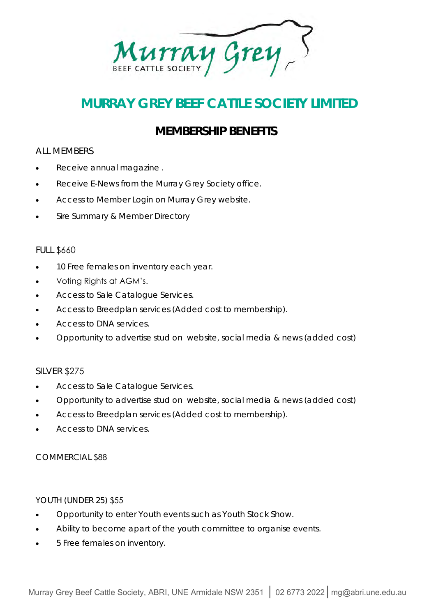Murray Grey

## **MURRAY GREY BEEF CATTLE SOCIETY LIMITED**

### **MEMBERSHIP BENEFITS**

#### ALL MEMBERS

- Receive annual magazine .
- Receive E-News from the Murray Grey Society office.
- Access to Member Login on Murray Grey website.
- Sire Summary & Member Directory

#### FULL \$660

- 10 Free females on inventory each year.
- Voting Rights at AGM's.
- Access to Sale Catalogue Services.
- Access to Breedplan services (Added cost to membership).
- Access to DNA services.
- Opportunity to advertise stud on website, social media & news (added cost)

#### SILVER \$275

- Access to Sale Catalogue Services.
- Opportunity to advertise stud on website, social media & news (added cost)
- Access to Breedplan services (Added cost to membership).
- Access to DNA services.

#### COMMERCIAL \$88

#### YOUTH (UNDER 25) \$55

- Opportunity to enter Youth events such as Youth Stock Show.
- Ability to become apart of the youth committee to organise events.
- 5 Free females on inventory.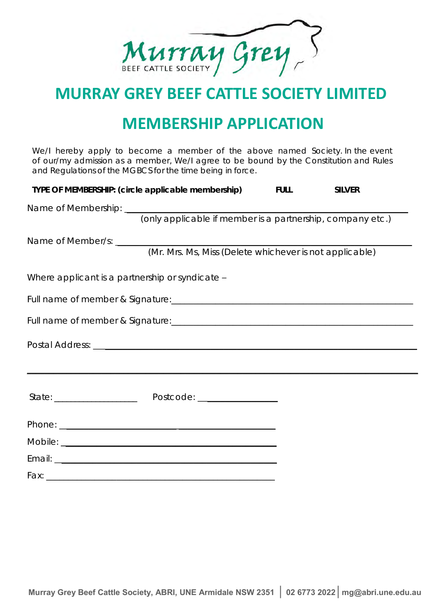Murray Grey

# **MURRAY GREY BEEF CATTLE SOCIETY LIMITED**

# **MEMBERSHIP APPLICATION**

We/I hereby apply to become a member of the above named Society. In the event of our/my admission as a member, We/I agree to be bound by the Constitution and Rules and Regulations of the MGBCS for the time being in force.

| TYPE OF MEMBERSHIP: (circle applicable membership) FULL | SILVER                                                  |  |
|---------------------------------------------------------|---------------------------------------------------------|--|
|                                                         |                                                         |  |
|                                                         |                                                         |  |
|                                                         |                                                         |  |
|                                                         | (Mr. Mrs. Ms, Miss (Delete whichever is not applicable) |  |
| Where applicant is a partnership or syndicate -         |                                                         |  |
|                                                         |                                                         |  |
|                                                         |                                                         |  |
|                                                         |                                                         |  |
|                                                         |                                                         |  |
|                                                         |                                                         |  |
|                                                         |                                                         |  |
|                                                         |                                                         |  |
|                                                         |                                                         |  |
|                                                         |                                                         |  |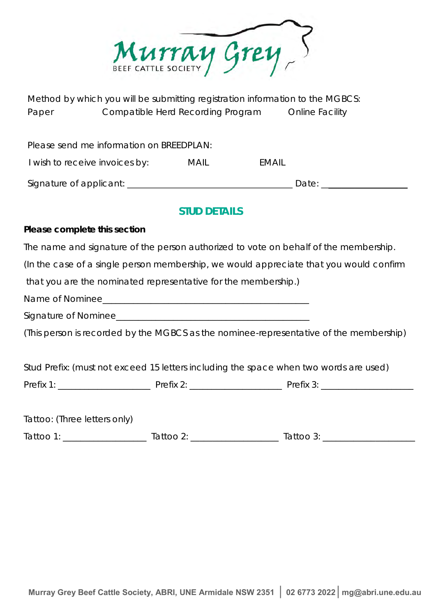Murray Grey

Method by which you will be submitting registration information to the MGBCS: Paper Compatible Herd Recording Program Online Facility

Please send me information on BREEDPLAN:

I wish to receive invoices by: MAIL EMAIL

| Signature of applicant: |  |
|-------------------------|--|
|                         |  |
|                         |  |

Signature of applicant of applicant  $\Box$ 

### **STUD DETAILS**

**Please complete this section** 

The name and signature of the person authorized to vote on behalf of the membership.

(In the case of a single person membership, we would appreciate that you would confirm

that you are the nominated representative for the membership.)

Name of Nominee

Signature of Nominee

(This person is recorded by the MGBCS as the nominee-representative of the membership)

Stud Prefix: (must not exceed 15 letters including the space when two words are used)

Prefix 1: \_\_\_\_\_\_\_\_\_\_\_\_\_\_\_\_\_\_\_\_\_ Prefix 2: \_\_\_\_\_\_\_\_\_\_\_\_\_\_\_\_\_\_\_\_\_ Prefix 3: \_\_\_\_\_\_\_\_\_\_\_\_\_\_\_\_\_\_\_\_\_

| Tattoo: (Three letters only) |                       |           |
|------------------------------|-----------------------|-----------|
| Tattoo 1:                    | fattoo 2 <sup>.</sup> | Tattoo 3: |